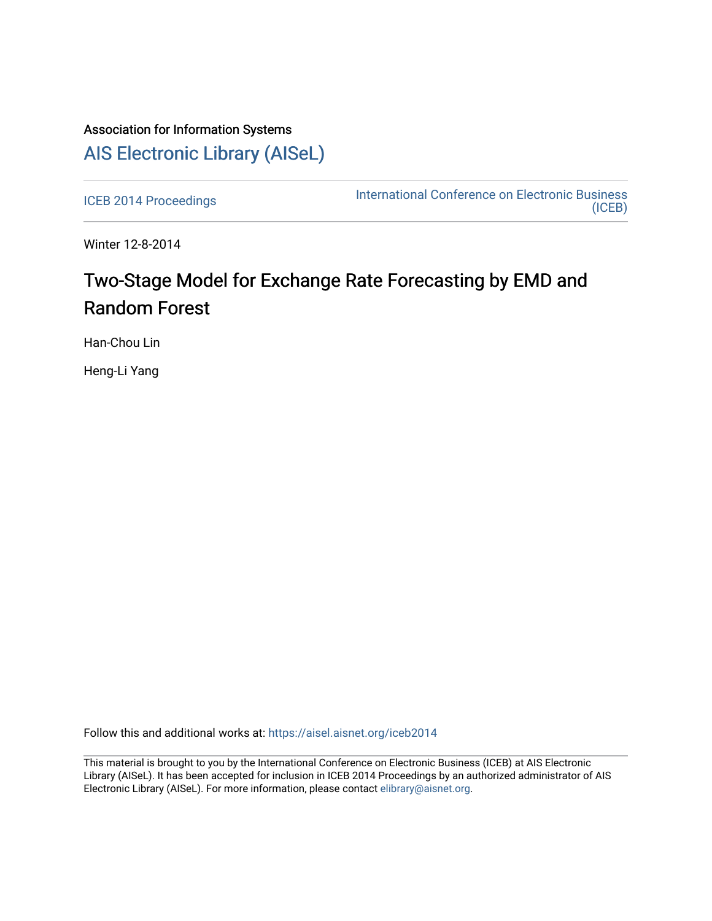## Association for Information Systems [AIS Electronic Library \(AISeL\)](https://aisel.aisnet.org/)

[ICEB 2014 Proceedings](https://aisel.aisnet.org/iceb2014) **International Conference on Electronic Business** [\(ICEB\)](https://aisel.aisnet.org/iceb) 

Winter 12-8-2014

# Two-Stage Model for Exchange Rate Forecasting by EMD and Random Forest

Han-Chou Lin

Heng-Li Yang

Follow this and additional works at: [https://aisel.aisnet.org/iceb2014](https://aisel.aisnet.org/iceb2014?utm_source=aisel.aisnet.org%2Ficeb2014%2F10&utm_medium=PDF&utm_campaign=PDFCoverPages)

This material is brought to you by the International Conference on Electronic Business (ICEB) at AIS Electronic Library (AISeL). It has been accepted for inclusion in ICEB 2014 Proceedings by an authorized administrator of AIS Electronic Library (AISeL). For more information, please contact [elibrary@aisnet.org.](mailto:elibrary@aisnet.org%3E)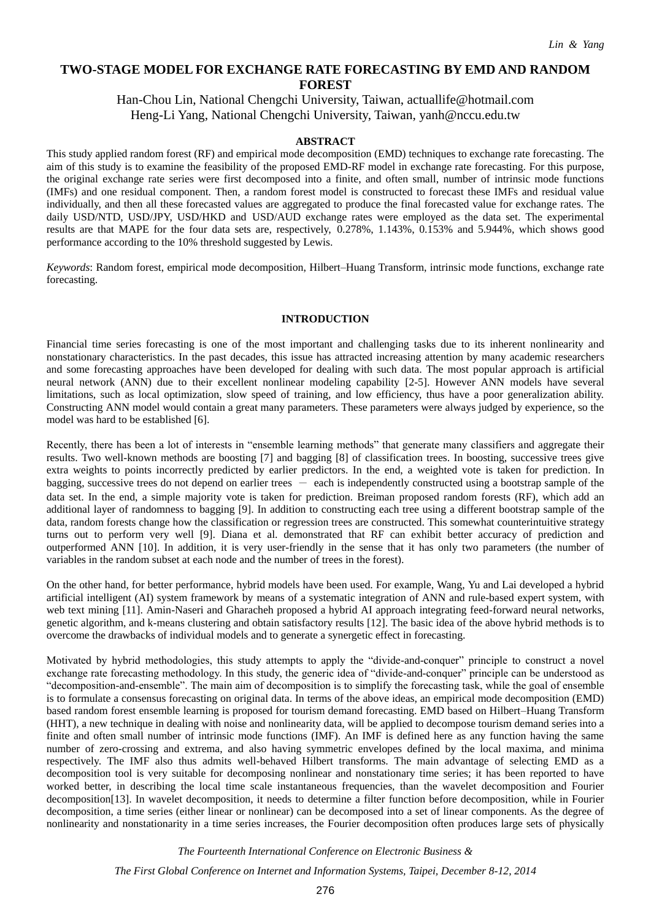### **TWO-STAGE MODEL FOR EXCHANGE RATE FORECASTING BY EMD AND RANDOM FOREST**

Han-Chou Lin, National Chengchi University, Taiwan, actuallife@hotmail.com Heng-Li Yang, National Chengchi University, Taiwan, yanh@nccu.edu.tw

#### **ABSTRACT**

This study applied random forest (RF) and empirical mode decomposition (EMD) techniques to exchange rate forecasting. The aim of this study is to examine the feasibility of the proposed EMD-RF model in exchange rate forecasting. For this purpose, the original exchange rate series were first decomposed into a finite, and often small, number of intrinsic mode functions (IMFs) and one residual component. Then, a random forest model is constructed to forecast these IMFs and residual value individually, and then all these forecasted values are aggregated to produce the final forecasted value for exchange rates. The daily USD/NTD, USD/JPY, USD/HKD and USD/AUD exchange rates were employed as the data set. The experimental results are that MAPE for the four data sets are, respectively, 0.278%, 1.143%, 0.153% and 5.944%, which shows good performance according to the 10% threshold suggested by Lewis.

*Keywords*: Random forest, empirical mode decomposition, Hilbert–Huang Transform, intrinsic mode functions, exchange rate forecasting.

#### **INTRODUCTION**

Financial time series forecasting is one of the most important and challenging tasks due to its inherent nonlinearity and nonstationary characteristics. In the past decades, this issue has attracted increasing attention by many academic researchers and some forecasting approaches have been developed for dealing with such data. The most popular approach is artificial neural network (ANN) due to their excellent nonlinear modeling capability [2-5]. However ANN models have several limitations, such as local optimization, slow speed of training, and low efficiency, thus have a poor generalization ability. Constructing ANN model would contain a great many parameters. These parameters were always judged by experience, so the model was hard to be established [6].

Recently, there has been a lot of interests in "ensemble learning methods" that generate many classifiers and aggregate their results. Two well-known methods are boosting [7] and bagging [8] of classification trees. In boosting, successive trees give extra weights to points incorrectly predicted by earlier predictors. In the end, a weighted vote is taken for prediction. In bagging, successive trees do not depend on earlier trees  $-$  each is independently constructed using a bootstrap sample of the data set. In the end, a simple majority vote is taken for prediction. Breiman proposed random forests (RF), which add an additional layer of randomness to bagging [9]. In addition to constructing each tree using a different bootstrap sample of the data, random forests change how the classification or regression trees are constructed. This somewhat counterintuitive strategy turns out to perform very well [9]. Diana et al. demonstrated that RF can exhibit better accuracy of prediction and outperformed ANN [10]. In addition, it is very user-friendly in the sense that it has only two parameters (the number of variables in the random subset at each node and the number of trees in the forest).

On the other hand, for better performance, hybrid models have been used. For example, Wang, Yu and Lai developed a hybrid artificial intelligent (AI) system framework by means of a systematic integration of ANN and rule-based expert system, with web text mining [11]. Amin-Naseri and Gharacheh proposed a hybrid AI approach integrating feed-forward neural networks, genetic algorithm, and k-means clustering and obtain satisfactory results [12]. The basic idea of the above hybrid methods is to overcome the drawbacks of individual models and to generate a synergetic effect in forecasting.

Motivated by hybrid methodologies, this study attempts to apply the "divide-and-conquer" principle to construct a novel exchange rate forecasting methodology. In this study, the generic idea of "divide-and-conquer" principle can be understood as "decomposition-and-ensemble". The main aim of decomposition is to simplify the forecasting task, while the goal of ensemble is to formulate a consensus forecasting on original data. In terms of the above ideas, an empirical mode decomposition (EMD) based random forest ensemble learning is proposed for tourism demand forecasting. EMD based on Hilbert–Huang Transform (HHT), a new technique in dealing with noise and nonlinearity data, will be applied to decompose tourism demand series into a finite and often small number of intrinsic mode functions (IMF). An IMF is defined here as any function having the same number of zero-crossing and extrema, and also having symmetric envelopes defined by the local maxima, and minima respectively. The IMF also thus admits well-behaved Hilbert transforms. The main advantage of selecting EMD as a decomposition tool is very suitable for decomposing nonlinear and nonstationary time series; it has been reported to have worked better, in describing the local time scale instantaneous frequencies, than the wavelet decomposition and Fourier decomposition[13]. In wavelet decomposition, it needs to determine a filter function before decomposition, while in Fourier decomposition, a time series (either linear or nonlinear) can be decomposed into a set of linear components. As the degree of nonlinearity and nonstationarity in a time series increases, the Fourier decomposition often produces large sets of physically

*The Fourteenth International Conference on Electronic Business &*

*The First Global Conference on Internet and Information Systems, Taipei, December 8-12, 2014*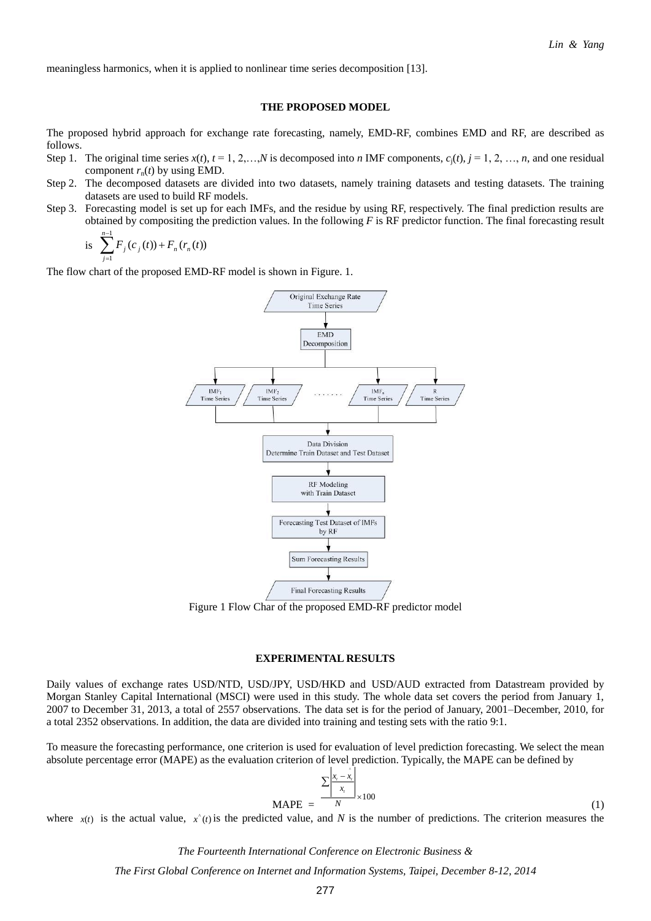meaningless harmonics, when it is applied to nonlinear time series decomposition [13].

#### **THE PROPOSED MODEL**

The proposed hybrid approach for exchange rate forecasting, namely, EMD-RF, combines EMD and RF, are described as follows.

- Step 1. The original time series  $x(t)$ ,  $t = 1, 2, \ldots, N$  is decomposed into *n* IMF components,  $c_i(t)$ ,  $i = 1, 2, \ldots, n$ , and one residual component  $r_n(t)$  by using EMD.
- Step 2. The decomposed datasets are divided into two datasets, namely training datasets and testing datasets. The training datasets are used to build RF models.
- Step 3. Forecasting model is set up for each IMFs, and the residue by using RF, respectively. The final prediction results are obtained by compositing the prediction values. In the following *F* is RF predictor function. The final forecasting result 1 *n*  $\overline{a}$

is 
$$
\sum_{j=1}^{n-1} F_j(c_j(t)) + F_n(r_n(t))
$$

The flow chart of the proposed EMD-RF model is shown in Figure. 1.



Figure 1 Flow Char of the proposed EMD-RF predictor model

#### **EXPERIMENTAL RESULTS**

Daily values of exchange rates USD/NTD, USD/JPY, USD/HKD and USD/AUD extracted from Datastream provided by Morgan Stanley Capital International (MSCI) were used in this study. The whole data set covers the period from January 1, 2007 to December 31, 2013, a total of 2557 observations. The data set is for the period of January, 2001–December, 2010, for a total 2352 observations. In addition, the data are divided into training and testing sets with the ratio 9:1.

To measure the forecasting performance, one criterion is used for evaluation of level prediction forecasting. We select the mean absolute percentage error (MAPE) as the evaluation criterion of level prediction. Typically, the MAPE can be defined by

$$
\text{MAPE} = \frac{\sum \left| \frac{x_i - \hat{x}_i}{x_i} \right|}{N} \times 100 \tag{1}
$$

where  $x(t)$  is the actual value,  $x^*(t)$  is the predicted value, and N is the number of predictions. The criterion measures the

*The Fourteenth International Conference on Electronic Business &*

*The First Global Conference on Internet and Information Systems, Taipei, December 8-12, 2014*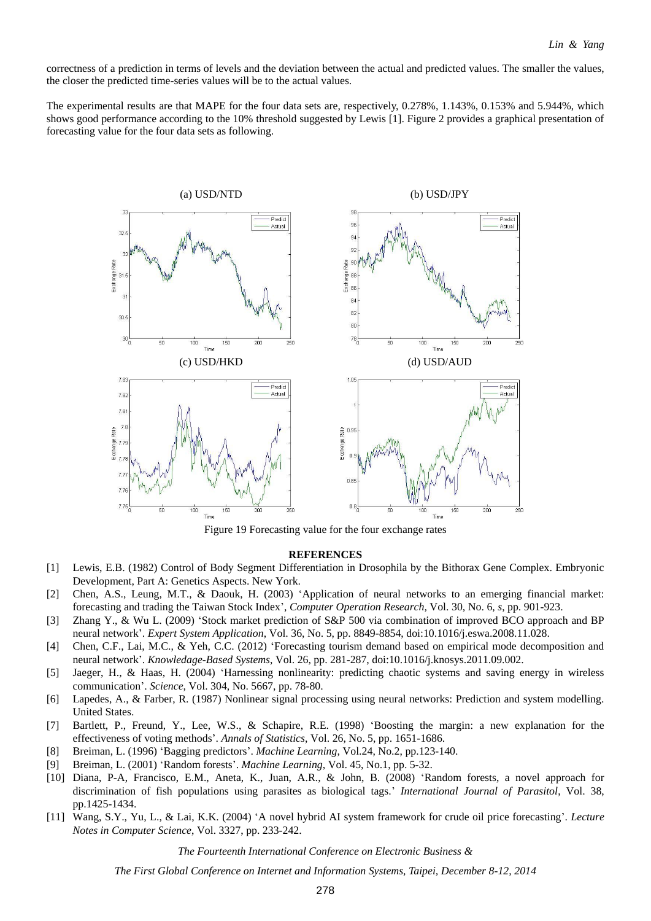correctness of a prediction in terms of levels and the deviation between the actual and predicted values. The smaller the values, the closer the predicted time-series values will be to the actual values.

The experimental results are that MAPE for the four data sets are, respectively, 0.278%, 1.143%, 0.153% and 5.944%, which shows good performance according to the 10% threshold suggested by Lewis [1]. Figure 2 provides a graphical presentation of forecasting value for the four data sets as following.



Figure 19 Forecasting value for the four exchange rates

#### **REFERENCES**

- [1] Lewis, E.B. (1982) Control of Body Segment Differentiation in Drosophila by the Bithorax Gene Complex. Embryonic Development, Part A: Genetics Aspects. New York.
- [2] Chen, A.S., Leung, M.T., & Daouk, H. (2003) 'Application of neural networks to an emerging financial market: forecasting and trading the Taiwan Stock Index', *Computer Operation Research,* Vol. 30, No. 6, *s*, pp. 901-923.
- [3] Zhang Y., & Wu L. (2009) 'Stock market prediction of S&P 500 via combination of improved BCO approach and BP neural network'. *Expert System Application*, Vol. 36, No. 5, pp. 8849-8854, doi:10.1016/j.eswa.2008.11.028.
- [4] Chen, C.F., Lai, M.C., & Yeh, C.C. (2012) 'Forecasting tourism demand based on empirical mode decomposition and neural network'. *Knowledage-Based Systems*, Vol. 26, pp. 281-287, doi:10.1016/j.knosys.2011.09.002.
- [5] Jaeger, H., & Haas, H. (2004) 'Harnessing nonlinearity: predicting chaotic systems and saving energy in wireless communication'. *Science*, Vol. 304, No. 5667, pp. 78-80.
- [6] Lapedes, A., & Farber, R. (1987) Nonlinear signal processing using neural networks: Prediction and system modelling. United States.
- [7] Bartlett, P., Freund, Y., Lee, W.S., & Schapire, R.E. (1998) 'Boosting the margin: a new explanation for the effectiveness of voting methods'. *Annals of Statistics*, Vol. 26, No. 5, pp. 1651-1686.
- [8] Breiman, L. (1996) 'Bagging predictors'. *Machine Learning*, Vol.24, No.2, pp.123-140.
- [9] Breiman, L. (2001) 'Random forests'. *Machine Learning*, Vol. 45, No.1, pp. 5-32.
- [10] Diana, P-A, Francisco, E.M., Aneta, K., Juan, A.R., & John, B. (2008) 'Random forests, a novel approach for discrimination of fish populations using parasites as biological tags.' *International Journal of Parasitol*, Vol. 38, pp.1425-1434.
- [11] Wang, S.Y., Yu, L., & Lai, K.K. (2004) 'A novel hybrid AI system framework for crude oil price forecasting'. *Lecture Notes in Computer Science*, Vol. 3327, pp. 233-242.

*The Fourteenth International Conference on Electronic Business &*

*The First Global Conference on Internet and Information Systems, Taipei, December 8-12, 2014*